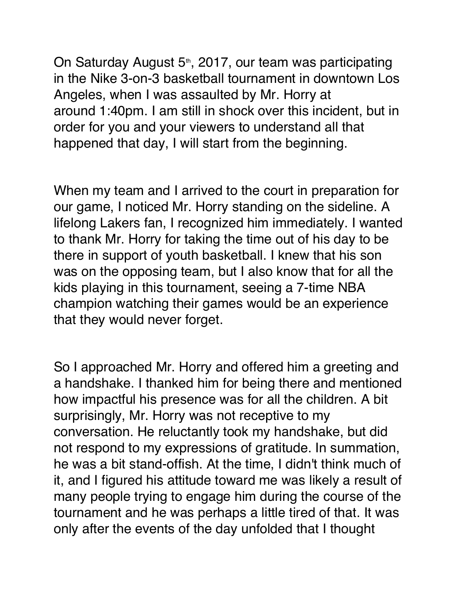On Saturday August 5<sup>th</sup>, 2017, our team was participating in the Nike 3-on-3 basketball tournament in downtown Los Angeles, when I was assaulted by Mr. Horry at around 1:40pm. I am still in shock over this incident, but in order for you and your viewers to understand all that happened that day, I will start from the beginning.

When my team and I arrived to the court in preparation for our game, I noticed Mr. Horry standing on the sideline. A lifelong Lakers fan, I recognized him immediately. I wanted to thank Mr. Horry for taking the time out of his day to be there in support of youth basketball. I knew that his son was on the opposing team, but I also know that for all the kids playing in this tournament, seeing a 7-time NBA champion watching their games would be an experience that they would never forget.

So I approached Mr. Horry and offered him a greeting and a handshake. I thanked him for being there and mentioned how impactful his presence was for all the children. A bit surprisingly, Mr. Horry was not receptive to my conversation. He reluctantly took my handshake, but did not respond to my expressions of gratitude. In summation, he was a bit stand-offish. At the time, I didn't think much of it, and I figured his attitude toward me was likely a result of many people trying to engage him during the course of the tournament and he was perhaps a little tired of that. It was only after the events of the day unfolded that I thought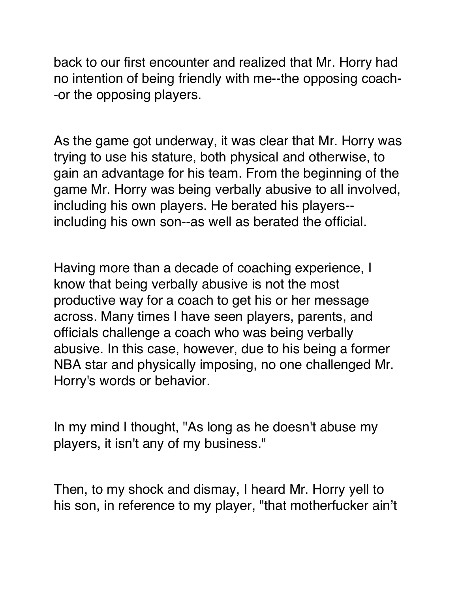back to our first encounter and realized that Mr. Horry had no intention of being friendly with me--the opposing coach- -or the opposing players.

As the game got underway, it was clear that Mr. Horry was trying to use his stature, both physical and otherwise, to gain an advantage for his team. From the beginning of the game Mr. Horry was being verbally abusive to all involved, including his own players. He berated his players- including his own son--as well as berated the official.

Having more than a decade of coaching experience, I know that being verbally abusive is not the most productive way for a coach to get his or her message across. Many times I have seen players, parents, and officials challenge a coach who was being verbally abusive. In this case, however, due to his being a former NBA star and physically imposing, no one challenged Mr. Horry's words or behavior.

In my mind I thought, "As long as he doesn't abuse my players, it isn't any of my business."

Then, to my shock and dismay, I heard Mr. Horry yell to his son, in reference to my player, "that motherfucker ain't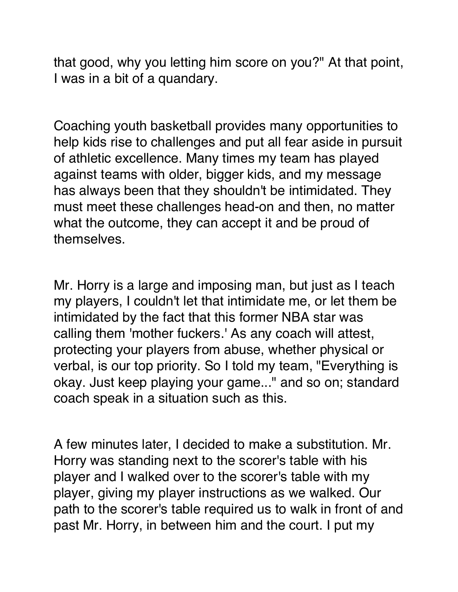that good, why you letting him score on you?" At that point, I was in a bit of a quandary.

Coaching youth basketball provides many opportunities to help kids rise to challenges and put all fear aside in pursuit of athletic excellence. Many times my team has played against teams with older, bigger kids, and my message has always been that they shouldn't be intimidated. They must meet these challenges head-on and then, no matter what the outcome, they can accept it and be proud of themselves.

Mr. Horry is a large and imposing man, but just as I teach my players, I couldn't let that intimidate me, or let them be intimidated by the fact that this former NBA star was calling them 'mother fuckers.' As any coach will attest, protecting your players from abuse, whether physical or verbal, is our top priority. So I told my team, "Everything is okay. Just keep playing your game..." and so on; standard coach speak in a situation such as this.

A few minutes later, I decided to make a substitution. Mr. Horry was standing next to the scorer's table with his player and I walked over to the scorer's table with my player, giving my player instructions as we walked. Our path to the scorer's table required us to walk in front of and past Mr. Horry, in between him and the court. I put my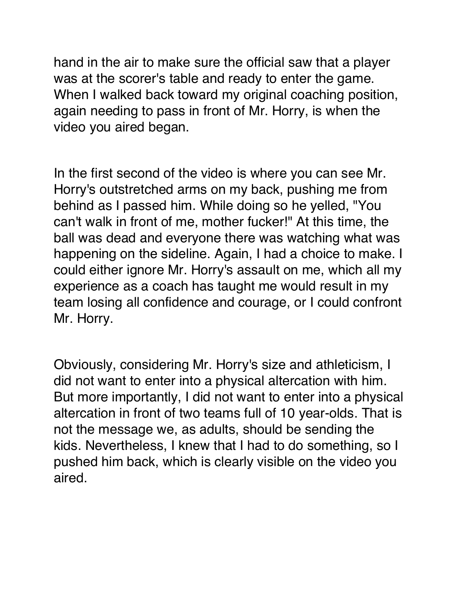hand in the air to make sure the official saw that a player was at the scorer's table and ready to enter the game. When I walked back toward my original coaching position, again needing to pass in front of Mr. Horry, is when the video you aired began.

In the first second of the video is where you can see Mr. Horry's outstretched arms on my back, pushing me from behind as I passed him. While doing so he yelled, "You can't walk in front of me, mother fucker!" At this time, the ball was dead and everyone there was watching what was happening on the sideline. Again, I had a choice to make. I could either ignore Mr. Horry's assault on me, which all my experience as a coach has taught me would result in my team losing all confidence and courage, or I could confront Mr. Horry.

Obviously, considering Mr. Horry's size and athleticism, I did not want to enter into a physical altercation with him. But more importantly, I did not want to enter into a physical altercation in front of two teams full of 10 year-olds. That is not the message we, as adults, should be sending the kids. Nevertheless, I knew that I had to do something, so I pushed him back, which is clearly visible on the video you aired.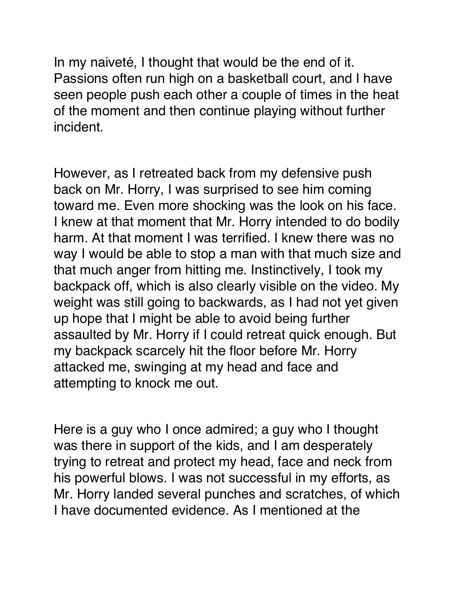In my naiveté, I thought that would be the end of it. Passions often run high on a basketball court, and I have seen people push each other a couple of times in the heat of the moment and then continue playing without further incident.

However, as I retreated back from my defensive push back on Mr. Horry, I was surprised to see him coming toward me. Even more shocking was the look on his face. I knew at that moment that Mr. Horry intended to do bodily harm. At that moment I was terrified. I knew there was no way I would be able to stop a man with that much size and that much anger from hitting me. Instinctively, I took my backpack off, which is also clearly visible on the video. My weight was still going to backwards, as I had not yet given up hope that I might be able to avoid being further assaulted by Mr. Horry if I could retreat quick enough. But my backpack scarcely hit the floor before Mr. Horry attacked me, swinging at my head and face and attempting to knock me out.

Here is a guy who I once admired; a guy who I thought was there in support of the kids, and I am desperately trying to retreat and protect my head, face and neck from his powerful blows. I was not successful in my efforts, as Mr. Horry landed several punches and scratches, of which I have documented evidence. As I mentioned at the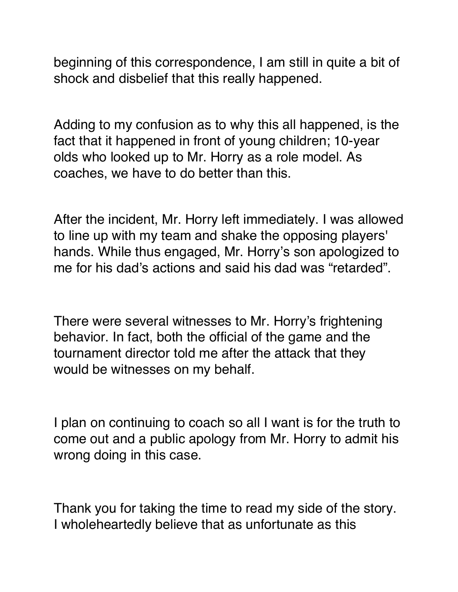beginning of this correspondence, I am still in quite a bit of shock and disbelief that this really happened.

Adding to my confusion as to why this all happened, is the fact that it happened in front of young children; 10-year olds who looked up to Mr. Horry as a role model. As coaches, we have to do better than this.

After the incident, Mr. Horry left immediately. I was allowed to line up with my team and shake the opposing players' hands. While thus engaged, Mr. Horry's son apologized to me for his dad's actions and said his dad was "retarded".

There were several witnesses to Mr. Horry's frightening behavior. In fact, both the official of the game and the tournament director told me after the attack that they would be witnesses on my behalf.

I plan on continuing to coach so all I want is for the truth to come out and a public apology from Mr. Horry to admit his wrong doing in this case.

Thank you for taking the time to read my side of the story. I wholeheartedly believe that as unfortunate as this